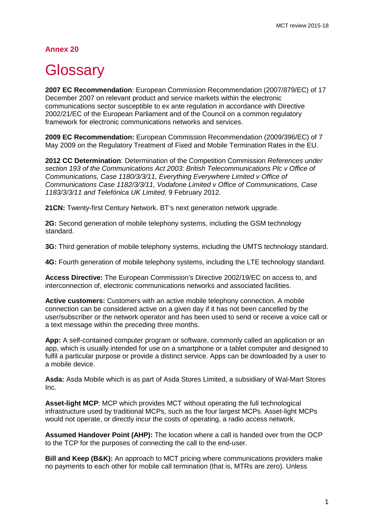## **Annex 20**

## **Glossary**

**2007 EC Recommendation**: European Commission Recommendation (2007/879/EC) of 17 December 2007 on relevant product and service markets within the electronic communications sector susceptible to ex ante regulation in accordance with Directive 2002/21/EC of the European Parliament and of the Council on a common regulatory framework for electronic communications networks and services.

**2009 EC Recommendation:** European Commission Recommendation (2009/396/EC) of 7 May 2009 on the Regulatory Treatment of Fixed and Mobile Termination Rates in the EU.

**2012 CC Determination**: Determination of the Competition Commission *References under section 193 of the Communications Act 2003: British Telecommunications Plc v Office of Communications, Case 1180/3/3/11, Everything Everywhere Limited v Office of Communications Case 1182/3/3/11, Vodafone Limited v Office of Communications, Case 1183/3/3/11 and Telefónica UK Limited*, 9 February 2012.

**21CN:** Twenty-first Century Network. BT's next generation network upgrade.

**2G:** Second generation of mobile telephony systems, including the GSM technology standard.

**3G:** Third generation of mobile telephony systems, including the UMTS technology standard.

**4G:** Fourth generation of mobile telephony systems, including the LTE technology standard.

**Access Directive:** The European Commission's Directive 2002/19/EC on access to, and interconnection of, electronic communications networks and associated facilities.

**Active customers:** Customers with an active mobile telephony connection. A mobile connection can be considered active on a given day if it has not been cancelled by the user/subscriber or the network operator and has been used to send or receive a voice call or a text message within the preceding three months.

**App:** A self-contained computer program or software, commonly called an application or an app, which is usually intended for use on a smartphone or a tablet computer and designed to fulfil a particular purpose or provide a distinct service. Apps can be downloaded by a user to a mobile device.

**Asda:** Asda Mobile which is as part of Asda Stores Limited, a subsidiary of Wal-Mart Stores Inc.

**Asset-light MCP**: MCP which provides MCT without operating the full technological infrastructure used by traditional MCPs, such as the four largest MCPs. Asset-light MCPs would not operate, or directly incur the costs of operating, a radio access network.

**Assumed Handover Point (AHP):** The location where a call is handed over from the OCP to the TCP for the purposes of connecting the call to the end-user.

**Bill and Keep (B&K):** An approach to MCT pricing where communications providers make no payments to each other for mobile call termination (that is, MTRs are zero). Unless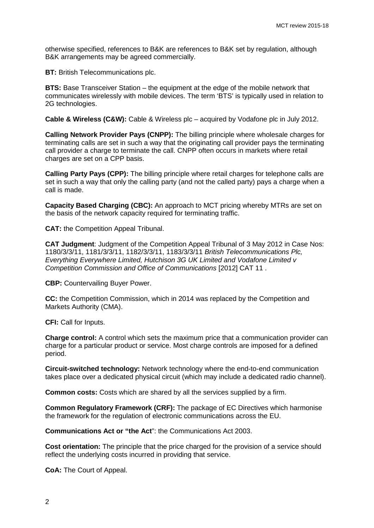otherwise specified, references to B&K are references to B&K set by regulation, although B&K arrangements may be agreed commercially.

**BT:** British Telecommunications plc.

**BTS:** Base Transceiver Station – the equipment at the edge of the mobile network that communicates wirelessly with mobile devices. The term 'BTS' is typically used in relation to 2G technologies.

**Cable & Wireless (C&W):** Cable & Wireless plc – acquired by Vodafone plc in July 2012.

**Calling Network Provider Pays (CNPP):** The billing principle where wholesale charges for terminating calls are set in such a way that the originating call provider pays the terminating call provider a charge to terminate the call. CNPP often occurs in markets where retail charges are set on a CPP basis.

**Calling Party Pays (CPP):** The billing principle where retail charges for telephone calls are set in such a way that only the calling party (and not the called party) pays a charge when a call is made.

**Capacity Based Charging (CBC):** An approach to MCT pricing whereby MTRs are set on the basis of the network capacity required for terminating traffic.

**CAT:** the Competition Appeal Tribunal.

**CAT Judgment**: Judgment of the Competition Appeal Tribunal of 3 May 2012 in Case Nos: 1180/3/3/11, 1181/3/3/11, 1182/3/3/11, 1183/3/3/11 *British Telecommunications Plc, Everything Everywhere Limited, Hutchison 3G UK Limited and Vodafone Limited v Competition Commission and Office of Communications* [2012] CAT 11 .

**CBP:** Countervailing Buyer Power.

**CC:** the Competition Commission, which in 2014 was replaced by the Competition and Markets Authority (CMA).

**CFI:** Call for Inputs.

**Charge control:** A control which sets the maximum price that a communication provider can charge for a particular product or service. Most charge controls are imposed for a defined period.

**Circuit-switched technology:** Network technology where the end-to-end communication takes place over a dedicated physical circuit (which may include a dedicated radio channel).

**Common costs:** Costs which are shared by all the services supplied by a firm.

**Common Regulatory Framework (CRF):** The package of EC Directives which harmonise the framework for the regulation of electronic communications across the EU.

**Communications Act or "the Act**": the Communications Act 2003.

**Cost orientation:** The principle that the price charged for the provision of a service should reflect the underlying costs incurred in providing that service.

**CoA:** The Court of Appeal.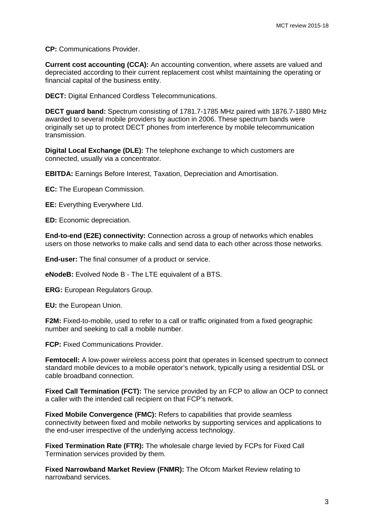**CP:** Communications Provider.

**Current cost accounting (CCA):** An accounting convention, where assets are valued and depreciated according to their current replacement cost whilst maintaining the operating or financial capital of the business entity.

**DECT:** Digital Enhanced Cordless Telecommunications.

**DECT guard band:** Spectrum consisting of 1781.7-1785 MHz paired with 1876.7-1880 MHz awarded to several mobile providers by auction in 2006. These spectrum bands were originally set up to protect DECT phones from interference by mobile telecommunication transmission.

**Digital Local Exchange (DLE):** The telephone exchange to which customers are connected, usually via a concentrator.

**EBITDA:** Earnings Before Interest, Taxation, Depreciation and Amortisation.

**EC:** The European Commission.

**EE:** Everything Everywhere Ltd.

**ED:** Economic depreciation.

**End-to-end (E2E) connectivity:** Connection across a group of networks which enables users on those networks to make calls and send data to each other across those networks.

**End-user:** The final consumer of a product or service.

**eNodeB:** Evolved Node B - The LTE equivalent of a BTS.

**ERG:** European Regulators Group.

**EU:** the European Union.

**F2M:** Fixed-to-mobile, used to refer to a call or traffic originated from a fixed geographic number and seeking to call a mobile number.

**FCP:** Fixed Communications Provider.

Femtocell: A low-power wireless access point that operates in licensed spectrum to connect standard mobile devices to a mobile operator's network, typically using a residential DSL or cable broadband connection.

**Fixed Call Termination (FCT):** The service provided by an FCP to allow an OCP to connect a caller with the intended call recipient on that FCP's network.

**Fixed Mobile Convergence (FMC):** Refers to capabilities that provide seamless connectivity between fixed and mobile networks by supporting services and applications to the end-user irrespective of the underlying access technology.

**Fixed Termination Rate (FTR):** The wholesale charge levied by FCPs for Fixed Call Termination services provided by them.

**Fixed Narrowband Market Review (FNMR):** The Ofcom Market Review relating to narrowband services.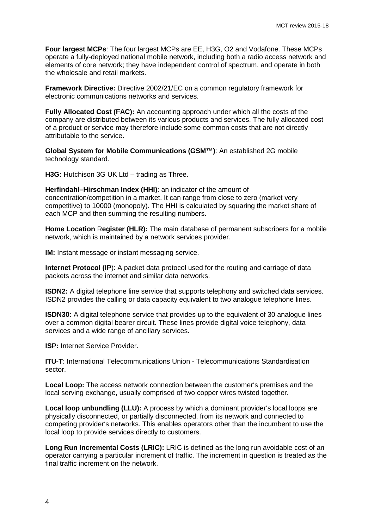**Four largest MCPs**: The four largest MCPs are EE, H3G, O2 and Vodafone. These MCPs operate a fully-deployed national mobile network, including both a radio access network and elements of core network; they have independent control of spectrum, and operate in both the wholesale and retail markets.

**Framework Directive:** Directive 2002/21/EC on a common regulatory framework for electronic communications networks and services.

**Fully Allocated Cost (FAC):** An accounting approach under which all the costs of the company are distributed between its various products and services. The fully allocated cost of a product or service may therefore include some common costs that are not directly attributable to the service.

**Global System for Mobile Communications (GSM™)**: An established 2G mobile technology standard.

**H3G:** Hutchison 3G UK Ltd – trading as Three.

**Herfindahl–Hirschman Index (HHI)**: an indicator of the amount of concentration/competition in a market. It can range from close to zero (market very competitive) to 10000 (monopoly). The HHI is calculated by squaring the market share of each MCP and then summing the resulting numbers.

**Home Location** R**egister (HLR):** The main database of permanent subscribers for a mobile network, which is maintained by a network services provider.

**IM:** Instant message or instant messaging service.

**Internet Protocol (IP**): A packet data protocol used for the routing and carriage of data packets across the internet and similar data networks.

**ISDN2:** A digital telephone line service that supports telephony and switched data services. ISDN2 provides the calling or data capacity equivalent to two analogue telephone lines.

**ISDN30:** A digital telephone service that provides up to the equivalent of 30 analogue lines over a common digital bearer circuit. These lines provide digital voice telephony, data services and a wide range of ancillary services.

**ISP:** Internet Service Provider.

**ITU-T:** International Telecommunications Union - Telecommunications Standardisation sector.

**Local Loop:** The access network connection between the customer's premises and the local serving exchange, usually comprised of two copper wires twisted together.

**Local loop unbundling (LLU):** A process by which a dominant provider's local loops are physically disconnected, or partially disconnected, from its network and connected to competing provider's networks. This enables operators other than the incumbent to use the local loop to provide services directly to customers.

**Long Run Incremental Costs (LRIC):** LRIC is defined as the long run avoidable cost of an operator carrying a particular increment of traffic. The increment in question is treated as the final traffic increment on the network.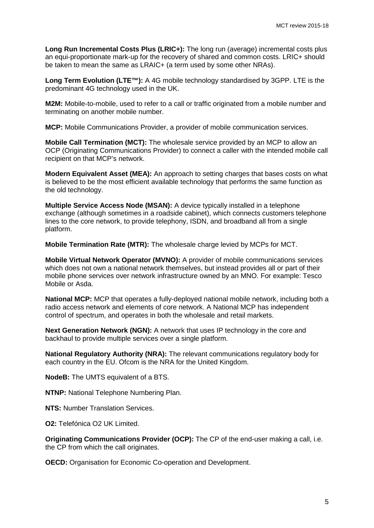**Long Run Incremental Costs Plus (LRIC+):** The long run (average) incremental costs plus an equi-proportionate mark-up for the recovery of shared and common costs. LRIC+ should be taken to mean the same as LRAIC+ (a term used by some other NRAs).

**Long Term Evolution (LTE™):** A 4G mobile technology standardised by 3GPP. LTE is the predominant 4G technology used in the UK.

**M2M:** Mobile-to-mobile, used to refer to a call or traffic originated from a mobile number and terminating on another mobile number.

**MCP:** Mobile Communications Provider, a provider of mobile communication services.

**Mobile Call Termination (MCT):** The wholesale service provided by an MCP to allow an OCP (Originating Communications Provider) to connect a caller with the intended mobile call recipient on that MCP's network.

**Modern Equivalent Asset (MEA):** An approach to setting charges that bases costs on what is believed to be the most efficient available technology that performs the same function as the old technology.

**Multiple Service Access Node (MSAN):** A device typically installed in a telephone exchange (although sometimes in a roadside cabinet), which connects customers telephone lines to the core network, to provide telephony, ISDN, and broadband all from a single platform.

**Mobile Termination Rate (MTR):** The wholesale charge levied by MCPs for MCT.

**Mobile Virtual Network Operator (MVNO):** A provider of mobile communications services which does not own a national network themselves, but instead provides all or part of their mobile phone services over network infrastructure owned by an MNO. For example: Tesco Mobile or Asda.

**National MCP:** MCP that operates a fully-deployed national mobile network, including both a radio access network and elements of core network. A National MCP has independent control of spectrum, and operates in both the wholesale and retail markets.

**Next Generation Network (NGN):** A network that uses IP technology in the core and backhaul to provide multiple services over a single platform.

**National Regulatory Authority (NRA):** The relevant communications regulatory body for each country in the EU. Ofcom is the NRA for the United Kingdom.

**NodeB:** The UMTS equivalent of a BTS.

**NTNP:** National Telephone Numbering Plan.

**NTS:** Number Translation Services.

**O2:** Telefónica O2 UK Limited.

**Originating Communications Provider (OCP):** The CP of the end-user making a call, i.e. the CP from which the call originates.

**OECD:** Organisation for Economic Co-operation and Development.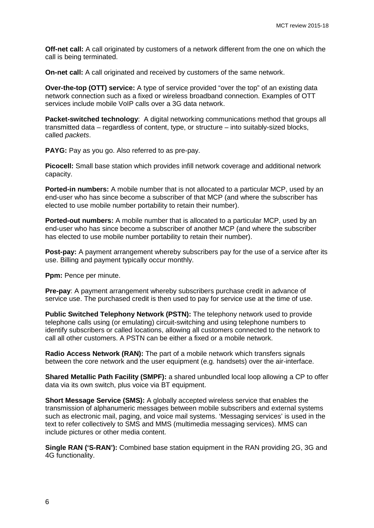**Off-net call:** A call originated by customers of a network different from the one on which the call is being terminated.

**On-net call:** A call originated and received by customers of the same network.

**Over-the-top (OTT) service:** A type of service provided "over the top" of an existing data network connection such as a fixed or wireless broadband connection. Examples of OTT services include mobile VoIP calls over a 3G data network.

**Packet-switched technology:** A digital networking communications method that groups all transmitted data – regardless of content, type, or structure – into suitably-sized blocks, called *packets*.

**PAYG:** Pay as you go. Also referred to as pre-pay.

**Picocell:** Small base station which provides infill network coverage and additional network capacity.

**Ported-in numbers:** A mobile number that is not allocated to a particular MCP, used by an end-user who has since become a subscriber of that MCP (and where the subscriber has elected to use mobile number portability to retain their number).

**Ported-out numbers:** A mobile number that is allocated to a particular MCP, used by an end-user who has since become a subscriber of another MCP (and where the subscriber has elected to use mobile number portability to retain their number).

**Post-pay:** A payment arrangement whereby subscribers pay for the use of a service after its use. Billing and payment typically occur monthly.

**Ppm:** Pence per minute.

**Pre-pay**: A payment arrangement whereby subscribers purchase credit in advance of service use. The purchased credit is then used to pay for service use at the time of use.

**Public Switched Telephony Network (PSTN):** The telephony network used to provide telephone calls using (or emulating) circuit-switching and using telephone numbers to identify subscribers or called locations, allowing all customers connected to the network to call all other customers. A PSTN can be either a fixed or a mobile network.

**Radio Access Network (RAN):** The part of a mobile network which transfers signals between the core network and the user equipment (e.g. handsets) over the air-interface.

**Shared Metallic Path Facility (SMPF):** a shared unbundled local loop allowing a CP to offer data via its own switch, plus voice via BT equipment.

**Short Message Service (SMS):** A globally accepted wireless service that enables the transmission of alphanumeric messages between mobile subscribers and external systems such as electronic mail, paging, and voice mail systems. 'Messaging services' is used in the text to refer collectively to SMS and MMS (multimedia messaging services). MMS can include pictures or other media content.

**Single RAN ('S-RAN'):** Combined base station equipment in the RAN providing 2G, 3G and 4G functionality.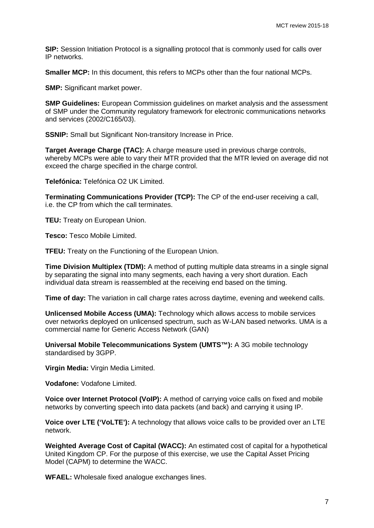**SIP:** Session Initiation Protocol is a signalling protocol that is commonly used for calls over IP networks.

**Smaller MCP:** In this document, this refers to MCPs other than the four national MCPs.

**SMP:** Significant market power.

**SMP Guidelines:** European Commission guidelines on market analysis and the assessment of SMP under the Community regulatory framework for electronic communications networks and services (2002/C165/03).

**SSNIP:** Small but Significant Non-transitory Increase in Price.

**Target Average Charge (TAC):** A charge measure used in previous charge controls, whereby MCPs were able to vary their MTR provided that the MTR levied on average did not exceed the charge specified in the charge control.

**Telefónica:** Telefónica O2 UK Limited.

**Terminating Communications Provider (TCP):** The CP of the end-user receiving a call, i.e. the CP from which the call terminates.

**TEU:** Treaty on European Union.

**Tesco:** Tesco Mobile Limited.

**TFEU:** Treaty on the Functioning of the European Union.

**Time Division Multiplex (TDM):** A method of putting multiple data streams in a single signal by separating the signal into many segments, each having a very short duration. Each individual data stream is reassembled at the receiving end based on the timing.

**Time of day:** The variation in call charge rates across daytime, evening and weekend calls.

**Unlicensed Mobile Access (UMA):** Technology which allows access to mobile services over networks deployed on unlicensed spectrum, such as W-LAN based networks. UMA is a commercial name for Generic Access Network (GAN)

**Universal Mobile Telecommunications System (UMTS™):** A 3G mobile technology standardised by 3GPP.

**Virgin Media:** Virgin Media Limited.

**Vodafone:** Vodafone Limited.

**Voice over Internet Protocol (VoIP):** A method of carrying voice calls on fixed and mobile networks by converting speech into data packets (and back) and carrying it using IP.

**Voice over LTE ('VoLTE'):** A technology that allows voice calls to be provided over an LTE network.

**Weighted Average Cost of Capital (WACC):** An estimated cost of capital for a hypothetical United Kingdom CP. For the purpose of this exercise, we use the Capital Asset Pricing Model (CAPM) to determine the WACC.

**WFAEL:** Wholesale fixed analogue exchanges lines.